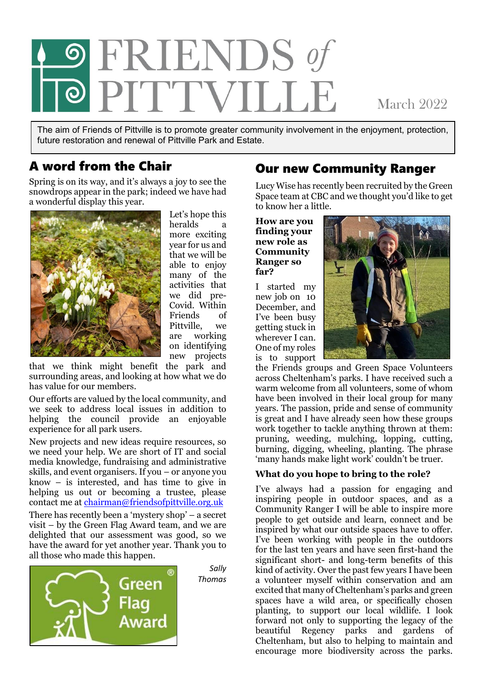

**March 2022** 

The aim of Friends of Pittville is to promote greater community involvement in the enjoyment, protection, future restoration and renewal of Pittville Park and Estate.

### A word from the Chair

Spring is on its way, and it's always a joy to see the snowdrops appear in the park; indeed we have had a wonderful display this year.



Let's hope this heralds a more exciting year for us and that we will be able to enjoy many of the activities that we did pre-Covid. Within Friends of Pittville, we are working on identifying new projects

*Sally*

that we think might benefit the park and surrounding areas, and looking at how what we do has value for our members.

Our efforts are valued by the local community, and we seek to address local issues in addition to helping the council provide an enjoyable experience for all park users.

New projects and new ideas require resources, so we need your help. We are short of IT and social media knowledge, fundraising and administrative skills, and event organisers. If you – or anyone you know – is interested, and has time to give in helping us out or becoming a trustee, please contact me at [chairman@friendsofpittville.org.uk](mailto:chairman@friendsofpittville.org.uk)

There has recently been a 'mystery shop' – a secret visit – by the Green Flag Award team, and we are delighted that our assessment was good, so we have the award for yet another year. Thank you to all those who made this happen.



### Our new Community Ranger

Lucy Wise has recently been recruited by the Green Space team at CBC and we thought you'd like to get to know her a little.

#### **How are you finding your new role as Community Ranger so far?**

I started my new job on 10 December, and I've been busy getting stuck in wherever I can. One of my roles is to support



the Friends groups and Green Space Volunteers across Cheltenham's parks. I have received such a warm welcome from all volunteers, some of whom have been involved in their local group for many years. The passion, pride and sense of community is great and I have already seen how these groups work together to tackle anything thrown at them: pruning, weeding, mulching, lopping, cutting, burning, digging, wheeling, planting. The phrase 'many hands make light work' couldn't be truer.

### **What do you hope to bring to the role?**

I've always had a passion for engaging and inspiring people in outdoor spaces, and as a Community Ranger I will be able to inspire more people to get outside and learn, connect and be inspired by what our outside spaces have to offer. I've been working with people in the outdoors for the last ten years and have seen first-hand the significant short- and long-term benefits of this kind of activity. Over the past few years I have been a volunteer myself within conservation and am excited that many of Cheltenham's parks and green spaces have a wild area, or specifically chosen planting, to support our local wildlife. I look forward not only to supporting the legacy of the beautiful Regency parks and gardens of Cheltenham, but also to helping to maintain and encourage more biodiversity across the parks.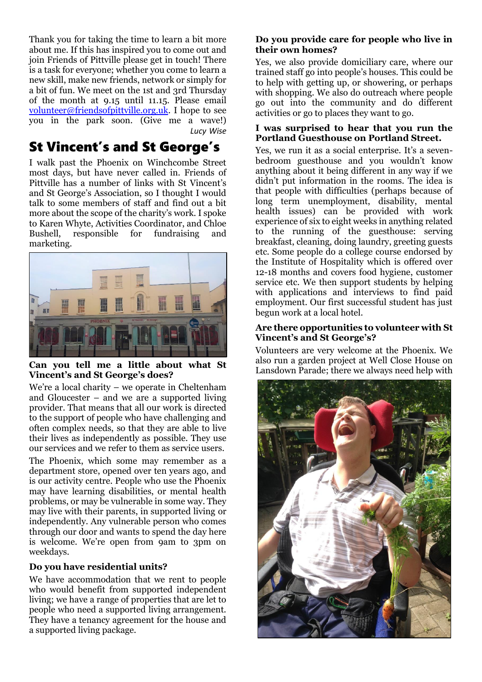Thank you for taking the time to learn a bit more about me. If this has inspired you to come out and join Friends of Pittville please get in touch! There is a task for everyone; whether you come to learn a new skill, make new friends, network or simply for a bit of fun. We meet on the 1st and 3rd Thursday of the month at 9.15 until 11.15. Please email [volunteer@friendsofpittville.org.uk.](mailto:volunteer@friendsofpittville.org.uk) I hope to see you in the park soon. (Give me a wave!)  *Lucy Wise*

## St Vincent's and St George's

I walk past the Phoenix on Winchcombe Street most days, but have never called in. Friends of Pittville has a number of links with St Vincent's and St George's Association, so I thought I would talk to some members of staff and find out a bit more about the scope of the charity's work. I spoke to Karen Whyte, Activities Coordinator, and Chloe Bushell, responsible for fundraising and marketing.



**Can you tell me a little about what St Vincent's and St George's does?**

We're a local charity – we operate in Cheltenham and Gloucester – and we are a supported living provider. That means that all our work is directed to the support of people who have challenging and often complex needs, so that they are able to live their lives as independently as possible. They use our services and we refer to them as service users.

The Phoenix, which some may remember as a department store, opened over ten years ago, and is our activity centre. People who use the Phoenix may have learning disabilities, or mental health problems, or may be vulnerable in some way. They may live with their parents, in supported living or independently. Any vulnerable person who comes through our door and wants to spend the day here is welcome. We're open from 9am to 3pm on weekdays.

### **Do you have residential units?**

We have accommodation that we rent to people who would benefit from supported independent living; we have a range of properties that are let to people who need a supported living arrangement. They have a tenancy agreement for the house and a supported living package.

### **Do you provide care for people who live in their own homes?**

Yes, we also provide domiciliary care, where our trained staff go into people's houses. This could be to help with getting up, or showering, or perhaps with shopping. We also do outreach where people go out into the community and do different activities or go to places they want to go.

#### **I was surprised to hear that you run the Portland Guesthouse on Portland Street.**

Yes, we run it as a social enterprise. It's a sevenbedroom guesthouse and you wouldn't know anything about it being different in any way if we didn't put information in the rooms. The idea is that people with difficulties (perhaps because of long term unemployment, disability, mental health issues) can be provided with work experience of six to eight weeks in anything related to the running of the guesthouse: serving breakfast, cleaning, doing laundry, greeting guests etc. Some people do a college course endorsed by the Institute of Hospitality which is offered over 12-18 months and covers food hygiene, customer service etc. We then support students by helping with applications and interviews to find paid employment. Our first successful student has just begun work at a local hotel.

### **Are there opportunities to volunteer with St Vincent's and St George's?**

Volunteers are very welcome at the Phoenix. We also run a garden project at Well Close House on Lansdown Parade; there we always need help with

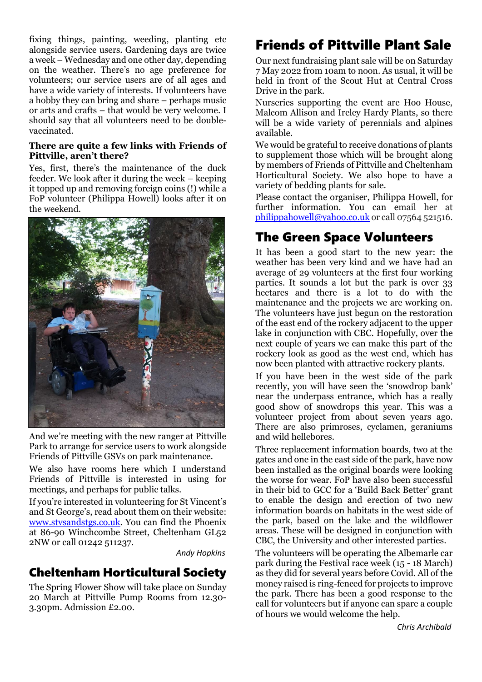fixing things, painting, weeding, planting etc alongside service users. Gardening days are twice a week – Wednesday and one other day, depending on the weather. There's no age preference for volunteers; our service users are of all ages and have a wide variety of interests. If volunteers have a hobby they can bring and share – perhaps music or arts and crafts – that would be very welcome. I should say that all volunteers need to be doublevaccinated.

#### **There are quite a few links with Friends of Pittville, aren't there?**

Yes, first, there's the maintenance of the duck feeder. We look after it during the week – keeping it topped up and removing foreign coins (!) while a FoP volunteer (Philippa Howell) looks after it on the weekend.



And we're meeting with the new ranger at Pittville Park to arrange for service users to work alongside Friends of Pittville GSVs on park maintenance.

We also have rooms here which I understand Friends of Pittville is interested in using for meetings, and perhaps for public talks.

If you're interested in volunteering for St Vincent's and St George's, read about them on their website: [www.stvsandstgs.co.uk.](http://www.stvsandstgs.co.uk/) You can find the Phoenix at 86-90 Winchcombe Street, Cheltenham GL52 2NW or call 01242 511237.

 *Andy Hopkins*

### Cheltenham Horticultural Society

The Spring Flower Show will take place on Sunday 20 March at Pittville Pump Rooms from 12.30- 3.30pm. Admission £2.00.

# Friends of Pittville Plant Sale

Our next fundraising plant sale will be on Saturday 7 May 2022 from 10am to noon. As usual, it will be held in front of the Scout Hut at Central Cross Drive in the park.

Nurseries supporting the event are Hoo House, Malcom Allison and Ireley Hardy Plants, so there will be a wide variety of perennials and alpines available.

We would be grateful to receive donations of plants to supplement those which will be brought along by members of Friends of Pittville and Cheltenham Horticultural Society. We also hope to have a variety of bedding plants for sale.

Please contact the organiser, Philippa Howell, for further information. You can email her at [philippahowell@yahoo.co.uk](mailto:philippahowell@yahoo.co.uk) or call 07564 521516.

## The Green Space Volunteers

It has been a good start to the new year: the weather has been very kind and we have had an average of 29 volunteers at the first four working parties. It sounds a lot but the park is over 33 hectares and there is a lot to do with the maintenance and the projects we are working on. The volunteers have just begun on the restoration of the east end of the rockery adjacent to the upper lake in conjunction with CBC. Hopefully, over the next couple of years we can make this part of the rockery look as good as the west end, which has now been planted with attractive rockery plants.

If you have been in the west side of the park recently, you will have seen the 'snowdrop bank' near the underpass entrance, which has a really good show of snowdrops this year. This was a volunteer project from about seven years ago. There are also primroses, cyclamen, geraniums and wild hellebores.

Three replacement information boards, two at the gates and one in the east side of the park, have now been installed as the original boards were looking the worse for wear. FoP have also been successful in their bid to GCC for a 'Build Back Better' grant to enable the design and erection of two new information boards on habitats in the west side of the park, based on the lake and the wildflower areas. These will be designed in conjunction with CBC, the University and other interested parties.

The volunteers will be operating the Albemarle car park during the Festival race week (15 - 18 March) as they did for several years before Covid. All of the money raised is ring-fenced for projects to improve the park. There has been a good response to the call for volunteers but if anyone can spare a couple of hours we would welcome the help.